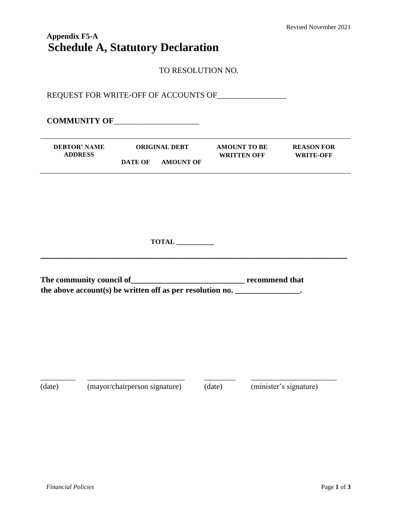# **Appendix F5-A Schedule A, Statutory Declaration**

TO RESOLUTION NO.

REQUEST FOR WRITE-OFF OF ACCOUNTS OF\_\_\_\_\_\_\_\_\_\_\_\_\_\_\_\_\_

**COMMUNITY OF**\_\_\_\_\_\_\_\_\_\_\_\_\_\_\_\_\_\_\_\_\_

| <b>DEBTOR' NAME</b> | <b>ORIGINAL DEBT</b> |                  | <b>AMOUNT TO BE</b> | <b>REASON FOR</b> |
|---------------------|----------------------|------------------|---------------------|-------------------|
| <b>ADDRESS</b>      |                      |                  | <b>WRITTEN OFF</b>  | <b>WRITE-OFF</b>  |
|                     | DATE OF              | <b>AMOUNT OF</b> |                     |                   |

**TOTAL \_\_\_\_\_\_\_\_\_\_\_**

**\_\_\_\_\_\_\_\_\_\_\_\_\_\_\_\_\_\_\_\_\_\_\_\_\_\_\_\_\_\_\_\_\_\_\_\_\_\_\_\_\_\_\_\_\_\_\_\_\_\_\_\_\_\_\_\_\_\_\_\_\_\_\_**

**The community council of\_\_\_\_\_\_\_\_\_\_\_\_\_\_\_\_\_\_\_\_\_\_\_\_\_\_\_\_ recommend that**  the above account(s) be written off as per resolution no.

\_\_\_\_\_\_\_\_\_ \_\_\_\_\_\_\_\_\_\_\_\_\_\_\_\_\_\_\_\_\_\_\_\_\_ \_\_\_\_\_\_\_\_ \_\_\_\_\_\_\_\_\_\_\_\_\_\_\_\_\_\_\_\_\_\_ (date) (mayor/chairperson signature) (date) (minister's signature)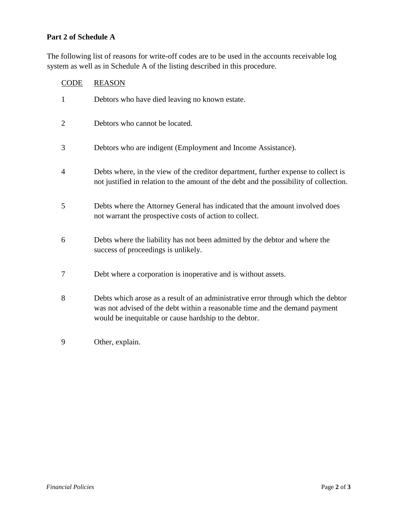#### **Part 2 of Schedule A**

The following list of reasons for write-off codes are to be used in the accounts receivable log system as well as in Schedule A of the listing described in this procedure.

## CODE REASON

| $\mathbf{1}$   | Debtors who have died leaving no known estate.                                                                                                                                                                            |
|----------------|---------------------------------------------------------------------------------------------------------------------------------------------------------------------------------------------------------------------------|
| $\overline{2}$ | Debtors who cannot be located.                                                                                                                                                                                            |
| 3              | Debtors who are indigent (Employment and Income Assistance).                                                                                                                                                              |
| $\overline{4}$ | Debts where, in the view of the creditor department, further expense to collect is<br>not justified in relation to the amount of the debt and the possibility of collection.                                              |
| 5              | Debts where the Attorney General has indicated that the amount involved does<br>not warrant the prospective costs of action to collect.                                                                                   |
| 6              | Debts where the liability has not been admitted by the debtor and where the<br>success of proceedings is unlikely.                                                                                                        |
| 7              | Debt where a corporation is inoperative and is without assets.                                                                                                                                                            |
| 8              | Debts which arose as a result of an administrative error through which the debtor<br>was not advised of the debt within a reasonable time and the demand payment<br>would be inequitable or cause hardship to the debtor. |

9 Other, explain.